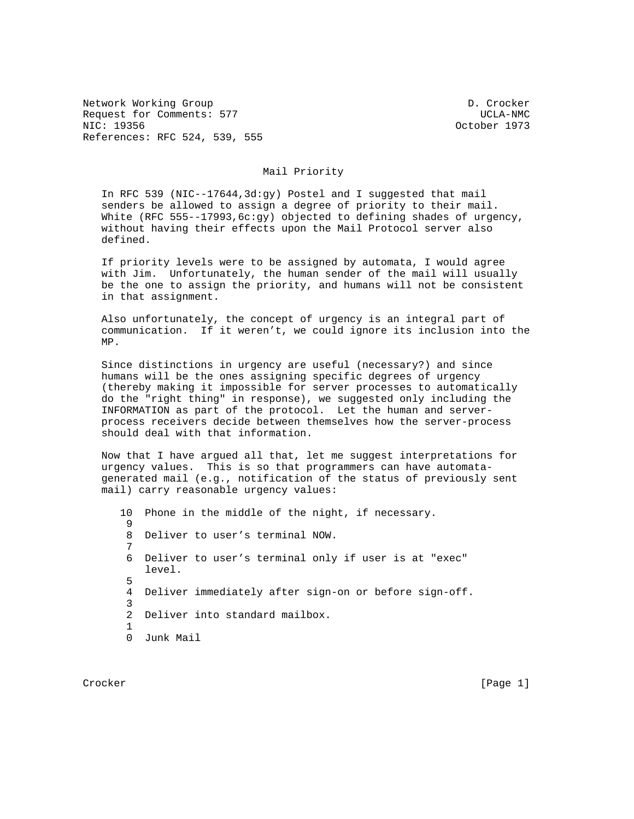Network Working Group D. Crocker Request for Comments: 577 Service Comments: 577 Service Comments of the UCLA-NMC NIC: 19356 October 1973 References: RFC 524, 539, 555

## Mail Priority

 In RFC 539 (NIC--17644,3d:gy) Postel and I suggested that mail senders be allowed to assign a degree of priority to their mail. White (RFC 555--17993,6c:gy) objected to defining shades of urgency, without having their effects upon the Mail Protocol server also defined.

 If priority levels were to be assigned by automata, I would agree with Jim. Unfortunately, the human sender of the mail will usually be the one to assign the priority, and humans will not be consistent in that assignment.

 Also unfortunately, the concept of urgency is an integral part of communication. If it weren't, we could ignore its inclusion into the MP.

 Since distinctions in urgency are useful (necessary?) and since humans will be the ones assigning specific degrees of urgency (thereby making it impossible for server processes to automatically do the "right thing" in response), we suggested only including the INFORMATION as part of the protocol. Let the human and server process receivers decide between themselves how the server-process should deal with that information.

 Now that I have argued all that, let me suggest interpretations for urgency values. This is so that programmers can have automata generated mail (e.g., notification of the status of previously sent mail) carry reasonable urgency values:

 10 Phone in the middle of the night, if necessary. 9 8 Deliver to user's terminal NOW. 7 6 Deliver to user's terminal only if user is at "exec" level. 5 4 Deliver immediately after sign-on or before sign-off. 3 2 Deliver into standard mailbox. 1 0 Junk Mail

Crocker [Page 1]